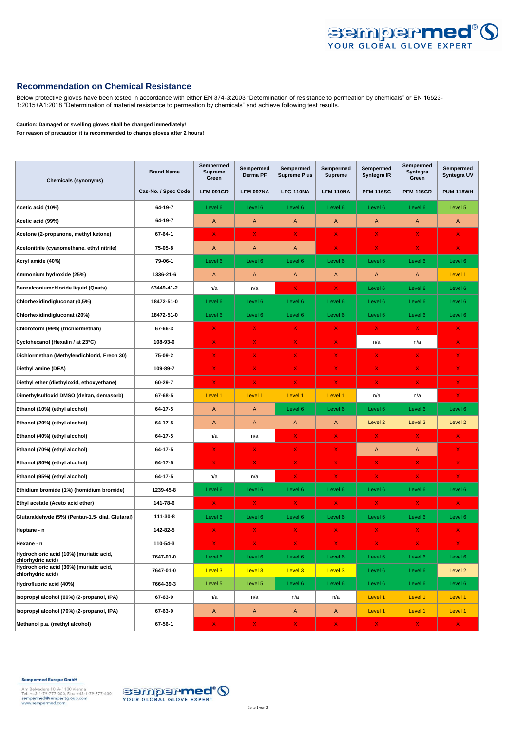

## **Recommendation on Chemical Resistance**

Below protective gloves have been tested in accordance with either EN 374-3:2003 "Determination of resistance to permeation by chemicals" or EN 16523- 1:2015+A1:2018 "Determination of material resistance to permeation by chemicals" and achieve following test results.

## **Caution: Damaged or swelling gloves shall be changed immediately!**

**For reason of precaution it is recommended to change gloves after 2 hours!**

| <b>Chemicals (synonyms)</b>                                  | <b>Brand Name</b>   | Sempermed<br><b>Supreme</b><br>Green | Sempermed<br>Derma PF | Sempermed<br><b>Supreme Plus</b> | Sempermed<br><b>Supreme</b> | Sempermed<br>Syntegra IR | Sempermed<br>Syntegra<br>Green | Sempermed<br>Syntegra UV |
|--------------------------------------------------------------|---------------------|--------------------------------------|-----------------------|----------------------------------|-----------------------------|--------------------------|--------------------------------|--------------------------|
|                                                              | Cas-No. / Spec Code | <b>LFM-091GR</b>                     | LFM-097NA             | LFG-110NA                        | <b>LFM-110NA</b>            | <b>PFM-116SC</b>         | <b>PFM-116GR</b>               | <b>PUM-118WH</b>         |
| Acetic acid (10%)                                            | 64-19-7             | Level 6                              | Level 6               | Level 6                          | Level 6                     | Level 6                  | Level 6                        | Level 5                  |
| Acetic acid (99%)                                            | 64-19-7             | A                                    | $\overline{A}$        | A                                | A                           | A                        | A                              | A                        |
| Acetone (2-propanone, methyl ketone)                         | 67-64-1             | X                                    | $\mathsf{X}$          | $\mathsf{X}$                     | $\mathsf{X}^-$              | $\mathsf{X}$             | $\mathsf{X}$                   | $\mathsf{X}$             |
| Acetonitrile (cyanomethane, ethyl nitrile)                   | 75-05-8             | $\mathsf{A}$                         | $\mathsf{A}$          | A                                | X.                          | $\mathsf{X}$             | X.                             | X.                       |
| Acryl amide (40%)                                            | 79-06-1             | Level 6                              | Level 6               | Level 6                          | Level 6                     | Level 6                  | Level 6                        | Level 6                  |
| Ammonium hydroxide (25%)                                     | 1336-21-6           | $\mathsf{A}$                         | $\mathsf{A}$          | A                                | Α                           | A                        | A                              | Level 1                  |
| Benzalconiumchloride liquid (Quats)                          | 63449-41-2          | n/a                                  | n/a                   | X.                               | X.                          | Level 6                  | Level 6                        | Level 6                  |
| Chlorhexidindigluconat (0,5%)                                | 18472-51-0          | Level 6                              | Level 6               | Level 6                          | Level 6                     | Level 6                  | Level 6                        | Level 6                  |
| Chlorhexidindigluconat (20%)                                 | 18472-51-0          | Level 6                              | Level 6               | Level 6                          | Level 6                     | Level 6                  | Level 6                        | Level 6                  |
| Chloroform (99%) (trichlormethan)                            | 67-66-3             | $\mathsf{x}$                         | $\mathsf{X}$          | $\mathsf{X}$                     | X.                          | $\mathsf{X}$             | $\mathsf{X}$                   | X                        |
| Cyclohexanol (Hexalin / at 23°C)                             | 108-93-0            | X                                    | X.                    | X                                | X.                          | n/a                      | n/a                            | X.                       |
| Dichlormethan (Methylendichlorid, Freon 30)                  | 75-09-2             | X                                    | X.                    | $\mathsf{X}$                     | X.                          | X.                       | X                              | X                        |
| Diethyl amine (DEA)                                          | 109-89-7            | X                                    | X.                    | X                                | X.                          | x                        | X.                             | X                        |
| Diethyl ether (diethyloxid, ethoxyethane)                    | 60-29-7             | X                                    | $\mathsf{X}$          | X                                | $\mathsf{X}$                | $\mathsf{X}$             | X.                             | X.                       |
| Dimethylsulfoxid DMSO (deltan, demasorb)                     | 67-68-5             | Level 1                              | Level 1               | Level 1                          | Level 1                     | n/a                      | n/a                            | $\mathsf{X}$             |
| Ethanol (10%) (ethyl alcohol)                                | 64-17-5             | $\mathsf{A}$                         | $\mathsf{A}$          | Level 6                          | Level 6                     | Level 6                  | Level 6                        | Level 6                  |
| Ethanol (20%) (ethyl alcohol)                                | 64-17-5             | $\mathsf{A}$                         | $\overline{A}$        | $\mathsf{A}$                     | Α                           | Level 2                  | Level <sub>2</sub>             | Level <sub>2</sub>       |
| Ethanol (40%) (ethyl alcohol)                                | 64-17-5             | n/a                                  | n/a                   | X                                | X.                          | X.                       | x                              | X                        |
| Ethanol (70%) (ethyl alcohol)                                | 64-17-5             | X.                                   | X.                    | $\mathsf{X}$                     | X.                          | A                        | A                              | $\mathsf{X}$             |
| Ethanol (80%) (ethyl alcohol)                                | 64-17-5             | X                                    | X                     | X.                               | X.                          | X.                       | X.                             | X                        |
| Ethanol (95%) (ethyl alcohol)                                | 64-17-5             | n/a                                  | n/a                   | X                                | X.                          | $\mathsf{X}$             | X.                             | $\mathsf{X}$             |
| Ethidium bromide (1%) (homidium bromide)                     | 1239-45-8           | Level 6                              | Level 6               | Level 6                          | Level 6                     | Level 6                  | Level 6                        | Level 6                  |
| Ethyl acetate (Aceto acid ether)                             | 141-78-6            | $\mathsf{X}$                         | X.                    | X.                               | X.                          | X.                       | X.                             | X.                       |
| Glutaraldehyde (5%) (Pentan-1,5- dial, Glutaral)             | 111-30-8            | Level 6                              | Level 6               | Level 6                          | Level 6                     | Level 6                  | Level 6                        | Level 6                  |
| Heptane - n                                                  | 142-82-5            | X                                    | X.                    | X                                | X.                          | X.                       | x                              | X                        |
| Hexane - n                                                   | 110-54-3            | X                                    | X.                    | $\mathsf{X}$                     | X.                          | X.                       | $\mathsf{X}$                   | $\mathsf{X}$             |
| Hydrochloric acid (10%) (muriatic acid,<br>chlorhydric acid) | 7647-01-0           | Level 6                              | Level 6               | Level 6                          | Level 6                     | Level 6                  | Level 6                        | Level 6                  |
| Hydrochloric acid (36%) (muriatic acid,<br>chlorhydric acid) | 7647-01-0           | Level 3                              | Level 3               | Level 3                          | Level 3                     | Level 6                  | Level 6                        | Level 2                  |
| Hydrofluoric acid (40%)                                      | 7664-39-3           | Level 5                              | Level 5               | Level 6                          | Level 6                     | Level 6                  | Level 6                        | Level 6                  |
| Isopropyl alcohol (60%) (2-propanol, IPA)                    | 67-63-0             | n/a                                  | n/a                   | n/a                              | n/a                         | Level 1                  | Level 1                        | Level 1                  |
| Isopropyl alcohol (70%) (2-propanol, IPA)                    | 67-63-0             | $\mathsf{A}$                         | $\mathsf{A}$          | A                                | A                           | Level 1                  | Level 1                        | Level 1                  |
| Methanol p.a. (methyl alcohol)                               | 67-56-1             | X.                                   | X.                    | $\mathsf{X}$                     | X.                          | X                        | X                              | X.                       |

Sempermed Europe GmbH